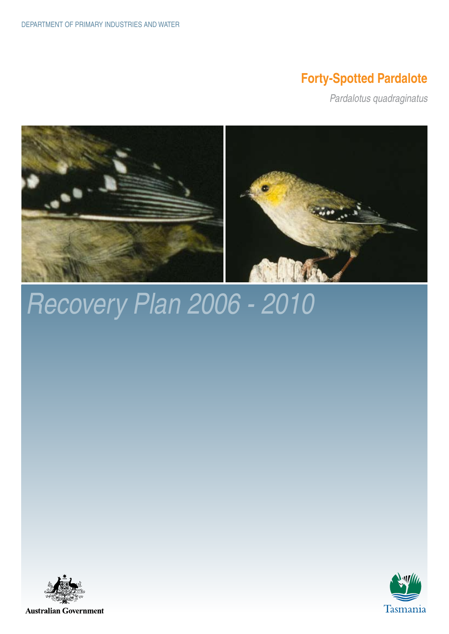### **Forty-Spotted Pardalote**

*Pardalotus quadraginatus*



# *Recovery Plan 2006 - 2010*



**Australian Government** 

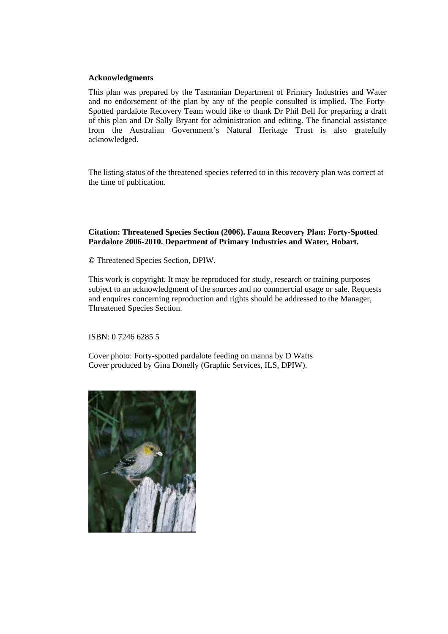#### **Acknowledgments**

This plan was prepared by the Tasmanian Department of Primary Industries and Water and no endorsement of the plan by any of the people consulted is implied. The Forty-Spotted pardalote Recovery Team would like to thank Dr Phil Bell for preparing a draft of this plan and Dr Sally Bryant for administration and editing. The financial assistance from the Australian Government's Natural Heritage Trust is also gratefully acknowledged.

The listing status of the threatened species referred to in this recovery plan was correct at the time of publication.

#### **Citation: Threatened Species Section (2006). Fauna Recovery Plan: Forty-Spotted Pardalote 2006-2010. Department of Primary Industries and Water, Hobart.**

**©** Threatened Species Section, DPIW.

This work is copyright. It may be reproduced for study, research or training purposes subject to an acknowledgment of the sources and no commercial usage or sale. Requests and enquires concerning reproduction and rights should be addressed to the Manager, Threatened Species Section.

ISBN: 0 7246 6285 5

Cover photo: Forty-spotted pardalote feeding on manna by D Watts Cover produced by Gina Donelly (Graphic Services, ILS, DPIW).

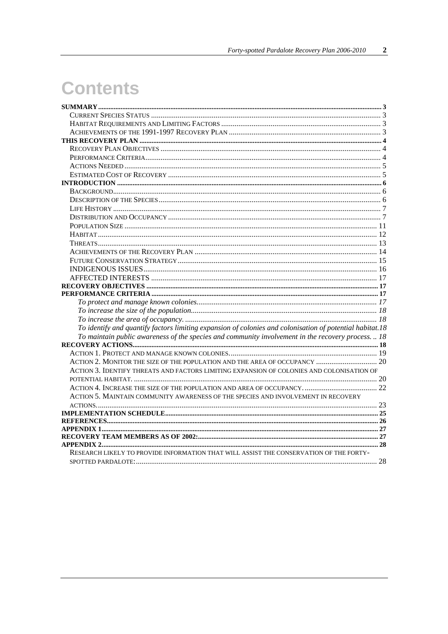# **Contents**

| To identify and quantify factors limiting expansion of colonies and colonisation of potential habitat.18<br>To maintain public awareness of the species and community involvement in the recovery process.  18<br>ACTION 2. MONITOR THE SIZE OF THE POPULATION AND THE AREA OF OCCUPANCY  20<br>ACTION 3. IDENTIFY THREATS AND FACTORS LIMITING EXPANSION OF COLONIES AND COLONISATION OF<br>ACTION 5. MAINTAIN COMMUNITY AWARENESS OF THE SPECIES AND INVOLVEMENT IN RECOVERY |  |
|--------------------------------------------------------------------------------------------------------------------------------------------------------------------------------------------------------------------------------------------------------------------------------------------------------------------------------------------------------------------------------------------------------------------------------------------------------------------------------|--|
|                                                                                                                                                                                                                                                                                                                                                                                                                                                                                |  |
|                                                                                                                                                                                                                                                                                                                                                                                                                                                                                |  |
|                                                                                                                                                                                                                                                                                                                                                                                                                                                                                |  |
|                                                                                                                                                                                                                                                                                                                                                                                                                                                                                |  |
|                                                                                                                                                                                                                                                                                                                                                                                                                                                                                |  |
|                                                                                                                                                                                                                                                                                                                                                                                                                                                                                |  |
|                                                                                                                                                                                                                                                                                                                                                                                                                                                                                |  |
|                                                                                                                                                                                                                                                                                                                                                                                                                                                                                |  |
|                                                                                                                                                                                                                                                                                                                                                                                                                                                                                |  |
|                                                                                                                                                                                                                                                                                                                                                                                                                                                                                |  |
|                                                                                                                                                                                                                                                                                                                                                                                                                                                                                |  |
|                                                                                                                                                                                                                                                                                                                                                                                                                                                                                |  |
|                                                                                                                                                                                                                                                                                                                                                                                                                                                                                |  |
|                                                                                                                                                                                                                                                                                                                                                                                                                                                                                |  |
|                                                                                                                                                                                                                                                                                                                                                                                                                                                                                |  |
|                                                                                                                                                                                                                                                                                                                                                                                                                                                                                |  |
|                                                                                                                                                                                                                                                                                                                                                                                                                                                                                |  |
|                                                                                                                                                                                                                                                                                                                                                                                                                                                                                |  |
|                                                                                                                                                                                                                                                                                                                                                                                                                                                                                |  |
|                                                                                                                                                                                                                                                                                                                                                                                                                                                                                |  |
|                                                                                                                                                                                                                                                                                                                                                                                                                                                                                |  |
|                                                                                                                                                                                                                                                                                                                                                                                                                                                                                |  |
|                                                                                                                                                                                                                                                                                                                                                                                                                                                                                |  |
|                                                                                                                                                                                                                                                                                                                                                                                                                                                                                |  |
|                                                                                                                                                                                                                                                                                                                                                                                                                                                                                |  |
|                                                                                                                                                                                                                                                                                                                                                                                                                                                                                |  |
|                                                                                                                                                                                                                                                                                                                                                                                                                                                                                |  |
|                                                                                                                                                                                                                                                                                                                                                                                                                                                                                |  |
|                                                                                                                                                                                                                                                                                                                                                                                                                                                                                |  |
|                                                                                                                                                                                                                                                                                                                                                                                                                                                                                |  |
|                                                                                                                                                                                                                                                                                                                                                                                                                                                                                |  |
|                                                                                                                                                                                                                                                                                                                                                                                                                                                                                |  |
|                                                                                                                                                                                                                                                                                                                                                                                                                                                                                |  |
|                                                                                                                                                                                                                                                                                                                                                                                                                                                                                |  |
|                                                                                                                                                                                                                                                                                                                                                                                                                                                                                |  |
|                                                                                                                                                                                                                                                                                                                                                                                                                                                                                |  |
|                                                                                                                                                                                                                                                                                                                                                                                                                                                                                |  |
|                                                                                                                                                                                                                                                                                                                                                                                                                                                                                |  |
|                                                                                                                                                                                                                                                                                                                                                                                                                                                                                |  |
| RESEARCH LIKELY TO PROVIDE INFORMATION THAT WILL ASSIST THE CONSERVATION OF THE FORTY-                                                                                                                                                                                                                                                                                                                                                                                         |  |
|                                                                                                                                                                                                                                                                                                                                                                                                                                                                                |  |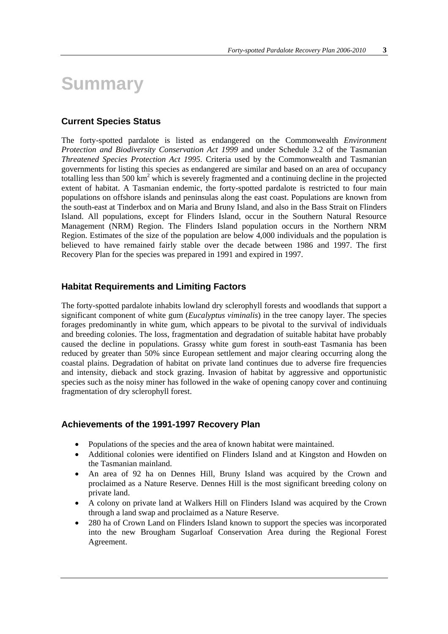### **Summary**

#### **Current Species Status**

The forty-spotted pardalote is listed as endangered on the Commonwealth *Environment Protection and Biodiversity Conservation Act 1999* and under Schedule 3.2 of the Tasmanian *Threatened Species Protection Act 1995*. Criteria used by the Commonwealth and Tasmanian governments for listing this species as endangered are similar and based on an area of occupancy totalling less than 500 km<sup>2</sup> which is severely fragmented and a continuing decline in the projected extent of habitat. A Tasmanian endemic, the forty-spotted pardalote is restricted to four main populations on offshore islands and peninsulas along the east coast. Populations are known from the south-east at Tinderbox and on Maria and Bruny Island, and also in the Bass Strait on Flinders Island. All populations, except for Flinders Island, occur in the Southern Natural Resource Management (NRM) Region. The Flinders Island population occurs in the Northern NRM Region. Estimates of the size of the population are below 4,000 individuals and the population is believed to have remained fairly stable over the decade between 1986 and 1997. The first Recovery Plan for the species was prepared in 1991 and expired in 1997.

#### **Habitat Requirements and Limiting Factors**

The forty-spotted pardalote inhabits lowland dry sclerophyll forests and woodlands that support a significant component of white gum (*Eucalyptus viminalis*) in the tree canopy layer. The species forages predominantly in white gum, which appears to be pivotal to the survival of individuals and breeding colonies. The loss, fragmentation and degradation of suitable habitat have probably caused the decline in populations. Grassy white gum forest in south-east Tasmania has been reduced by greater than 50% since European settlement and major clearing occurring along the coastal plains. Degradation of habitat on private land continues due to adverse fire frequencies and intensity, dieback and stock grazing. Invasion of habitat by aggressive and opportunistic species such as the noisy miner has followed in the wake of opening canopy cover and continuing fragmentation of dry sclerophyll forest.

#### **Achievements of the 1991-1997 Recovery Plan**

- Populations of the species and the area of known habitat were maintained.
- Additional colonies were identified on Flinders Island and at Kingston and Howden on the Tasmanian mainland.
- An area of 92 ha on Dennes Hill, Bruny Island was acquired by the Crown and proclaimed as a Nature Reserve. Dennes Hill is the most significant breeding colony on private land.
- A colony on private land at Walkers Hill on Flinders Island was acquired by the Crown through a land swap and proclaimed as a Nature Reserve.
- 280 ha of Crown Land on Flinders Island known to support the species was incorporated into the new Brougham Sugarloaf Conservation Area during the Regional Forest Agreement.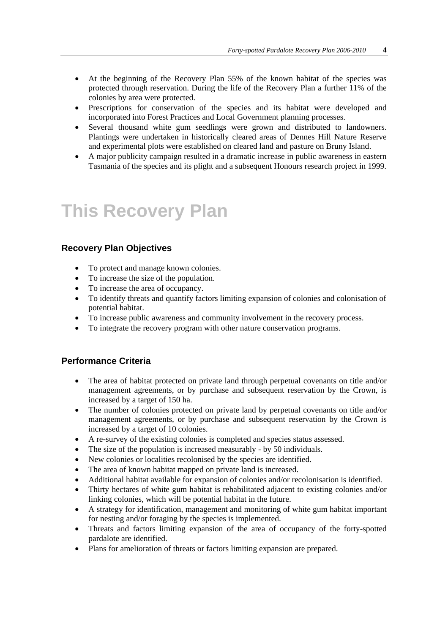- At the beginning of the Recovery Plan 55% of the known habitat of the species was protected through reservation. During the life of the Recovery Plan a further 11% of the colonies by area were protected.
- Prescriptions for conservation of the species and its habitat were developed and incorporated into Forest Practices and Local Government planning processes.
- Several thousand white gum seedlings were grown and distributed to landowners. Plantings were undertaken in historically cleared areas of Dennes Hill Nature Reserve and experimental plots were established on cleared land and pasture on Bruny Island.
- A major publicity campaign resulted in a dramatic increase in public awareness in eastern Tasmania of the species and its plight and a subsequent Honours research project in 1999.

### **This Recovery Plan**

#### **Recovery Plan Objectives**

- To protect and manage known colonies.
- To increase the size of the population.
- To increase the area of occupancy.
- To identify threats and quantify factors limiting expansion of colonies and colonisation of potential habitat.
- To increase public awareness and community involvement in the recovery process.
- To integrate the recovery program with other nature conservation programs.

#### **Performance Criteria**

- The area of habitat protected on private land through perpetual covenants on title and/or management agreements, or by purchase and subsequent reservation by the Crown, is increased by a target of 150 ha.
- The number of colonies protected on private land by perpetual covenants on title and/or management agreements, or by purchase and subsequent reservation by the Crown is increased by a target of 10 colonies.
- A re-survey of the existing colonies is completed and species status assessed.
- The size of the population is increased measurably by 50 individuals.
- New colonies or localities recolonised by the species are identified.
- The area of known habitat mapped on private land is increased.
- Additional habitat available for expansion of colonies and/or recolonisation is identified.
- Thirty hectares of white gum habitat is rehabilitated adjacent to existing colonies and/or linking colonies, which will be potential habitat in the future.
- A strategy for identification, management and monitoring of white gum habitat important for nesting and/or foraging by the species is implemented.
- Threats and factors limiting expansion of the area of occupancy of the forty-spotted pardalote are identified.
- Plans for amelioration of threats or factors limiting expansion are prepared.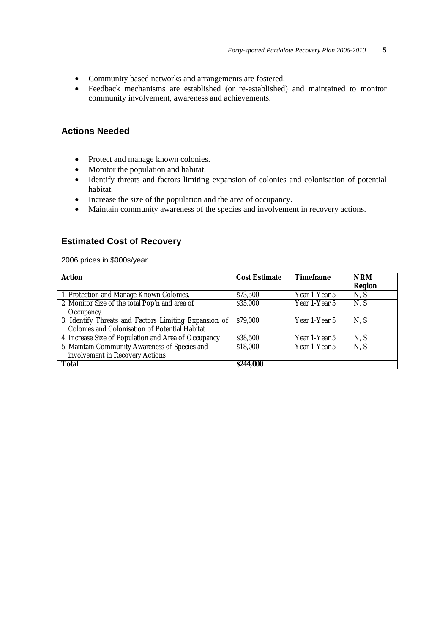- Community based networks and arrangements are fostered.
- Feedback mechanisms are established (or re-established) and maintained to monitor community involvement, awareness and achievements.

#### **Actions Needed**

- Protect and manage known colonies.
- Monitor the population and habitat.
- Identify threats and factors limiting expansion of colonies and colonisation of potential habitat.
- Increase the size of the population and the area of occupancy.
- Maintain community awareness of the species and involvement in recovery actions.

#### **Estimated Cost of Recovery**

2006 prices in \$000s/year

| <b>Action</b>                                         | <b>Cost Estimate</b> | <b>Timeframe</b> | <b>NRM</b>    |
|-------------------------------------------------------|----------------------|------------------|---------------|
|                                                       |                      |                  | <b>Region</b> |
| 1. Protection and Manage Known Colonies.              | \$73,500             | Year 1-Year 5    | N, S          |
| 2. Monitor Size of the total Pop'n and area of        | \$35,000             | Year 1-Year 5    | N, S          |
| Occupancy.                                            |                      |                  |               |
| 3. Identify Threats and Factors Limiting Expansion of | \$79,000             | Year 1-Year 5    | N, S          |
| Colonies and Colonisation of Potential Habitat.       |                      |                  |               |
| 4. Increase Size of Population and Area of Occupancy  | \$38,500             | Year 1-Year 5    | N, S          |
| 5. Maintain Community Awareness of Species and        | \$18,000             | Year 1-Year 5    | N, S          |
| involvement in Recovery Actions                       |                      |                  |               |
| <b>Total</b>                                          | <b>\$244,000</b>     |                  |               |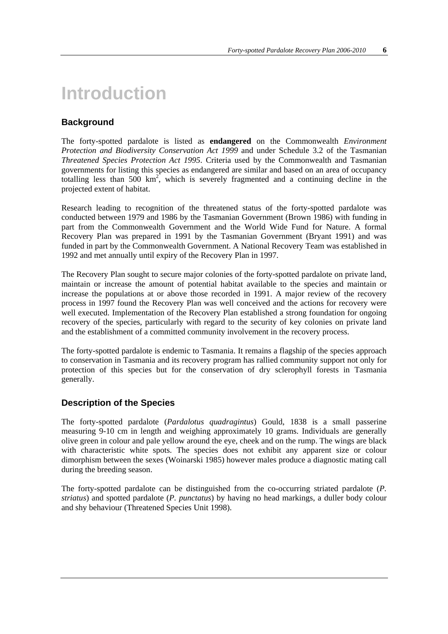# **Introduction**

#### **Background**

The forty-spotted pardalote is listed as **endangered** on the Commonwealth *Environment Protection and Biodiversity Conservation Act 1999* and under Schedule 3.2 of the Tasmanian *Threatened Species Protection Act 1995*. Criteria used by the Commonwealth and Tasmanian governments for listing this species as endangered are similar and based on an area of occupancy totalling less than  $500 \text{ km}^2$ , which is severely fragmented and a continuing decline in the projected extent of habitat.

Research leading to recognition of the threatened status of the forty-spotted pardalote was conducted between 1979 and 1986 by the Tasmanian Government (Brown 1986) with funding in part from the Commonwealth Government and the World Wide Fund for Nature. A formal Recovery Plan was prepared in 1991 by the Tasmanian Government (Bryant 1991) and was funded in part by the Commonwealth Government. A National Recovery Team was established in 1992 and met annually until expiry of the Recovery Plan in 1997.

The Recovery Plan sought to secure major colonies of the forty-spotted pardalote on private land, maintain or increase the amount of potential habitat available to the species and maintain or increase the populations at or above those recorded in 1991. A major review of the recovery process in 1997 found the Recovery Plan was well conceived and the actions for recovery were well executed. Implementation of the Recovery Plan established a strong foundation for ongoing recovery of the species, particularly with regard to the security of key colonies on private land and the establishment of a committed community involvement in the recovery process.

The forty-spotted pardalote is endemic to Tasmania. It remains a flagship of the species approach to conservation in Tasmania and its recovery program has rallied community support not only for protection of this species but for the conservation of dry sclerophyll forests in Tasmania generally.

#### **Description of the Species**

The forty-spotted pardalote (*Pardalotus quadragintus*) Gould, 1838 is a small passerine measuring 9-10 cm in length and weighing approximately 10 grams. Individuals are generally olive green in colour and pale yellow around the eye, cheek and on the rump. The wings are black with characteristic white spots. The species does not exhibit any apparent size or colour dimorphism between the sexes (Woinarski 1985) however males produce a diagnostic mating call during the breeding season.

The forty-spotted pardalote can be distinguished from the co-occurring striated pardalote (*P. striatus*) and spotted pardalote (*P. punctatus*) by having no head markings, a duller body colour and shy behaviour (Threatened Species Unit 1998).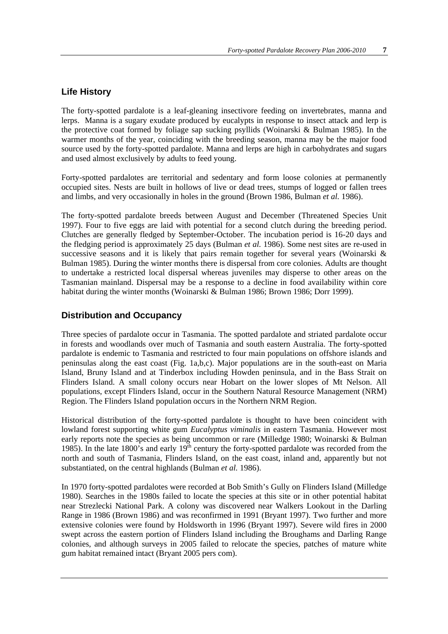#### **Life History**

The forty-spotted pardalote is a leaf-gleaning insectivore feeding on invertebrates, manna and lerps. Manna is a sugary exudate produced by eucalypts in response to insect attack and lerp is the protective coat formed by foliage sap sucking psyllids (Woinarski & Bulman 1985). In the warmer months of the year, coinciding with the breeding season, manna may be the major food source used by the forty-spotted pardalote. Manna and lerps are high in carbohydrates and sugars and used almost exclusively by adults to feed young.

Forty-spotted pardalotes are territorial and sedentary and form loose colonies at permanently occupied sites. Nests are built in hollows of live or dead trees, stumps of logged or fallen trees and limbs, and very occasionally in holes in the ground (Brown 1986, Bulman *et al.* 1986).

The forty-spotted pardalote breeds between August and December (Threatened Species Unit 1997). Four to five eggs are laid with potential for a second clutch during the breeding period. Clutches are generally fledged by September-October. The incubation period is 16-20 days and the fledging period is approximately 25 days (Bulman *et al.* 1986). Some nest sites are re-used in successive seasons and it is likely that pairs remain together for several years (Woinarski  $\&$ Bulman 1985). During the winter months there is dispersal from core colonies. Adults are thought to undertake a restricted local dispersal whereas juveniles may disperse to other areas on the Tasmanian mainland. Dispersal may be a response to a decline in food availability within core habitat during the winter months (Woinarski & Bulman 1986; Brown 1986; Dorr 1999).

#### **Distribution and Occupancy**

Three species of pardalote occur in Tasmania. The spotted pardalote and striated pardalote occur in forests and woodlands over much of Tasmania and south eastern Australia. The forty-spotted pardalote is endemic to Tasmania and restricted to four main populations on offshore islands and peninsulas along the east coast (Fig. 1a,b,c). Major populations are in the south-east on Maria Island, Bruny Island and at Tinderbox including Howden peninsula, and in the Bass Strait on Flinders Island. A small colony occurs near Hobart on the lower slopes of Mt Nelson. All populations, except Flinders Island, occur in the Southern Natural Resource Management (NRM) Region. The Flinders Island population occurs in the Northern NRM Region.

Historical distribution of the forty-spotted pardalote is thought to have been coincident with lowland forest supporting white gum *Eucalyptus viminalis* in eastern Tasmania. However most early reports note the species as being uncommon or rare (Milledge 1980; Woinarski & Bulman 1985). In the late 1800's and early  $19<sup>th</sup>$  century the forty-spotted pardalote was recorded from the north and south of Tasmania, Flinders Island, on the east coast, inland and, apparently but not substantiated, on the central highlands (Bulman *et al.* 1986).

In 1970 forty-spotted pardalotes were recorded at Bob Smith's Gully on Flinders Island (Milledge 1980). Searches in the 1980s failed to locate the species at this site or in other potential habitat near Strezlecki National Park. A colony was discovered near Walkers Lookout in the Darling Range in 1986 (Brown 1986) and was reconfirmed in 1991 (Bryant 1997). Two further and more extensive colonies were found by Holdsworth in 1996 (Bryant 1997). Severe wild fires in 2000 swept across the eastern portion of Flinders Island including the Broughams and Darling Range colonies, and although surveys in 2005 failed to relocate the species, patches of mature white gum habitat remained intact (Bryant 2005 pers com).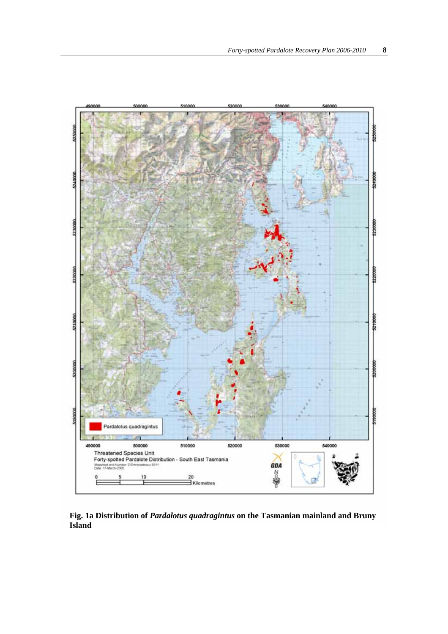

**Fig. 1a Distribution of** *Pardalotus quadragintus* **on the Tasmanian mainland and Bruny Island**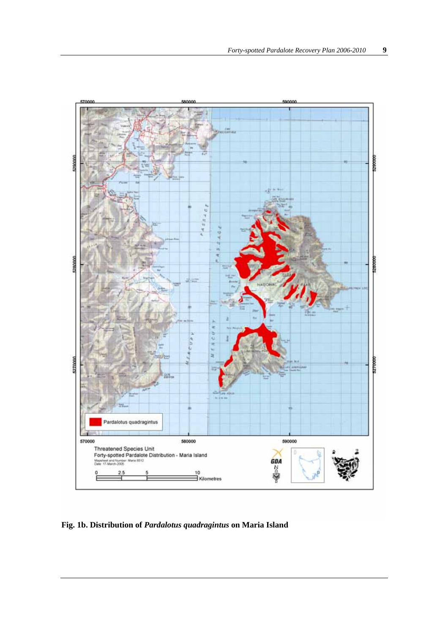

**Fig. 1b. Distribution of** *Pardalotus quadragintus* **on Maria Island**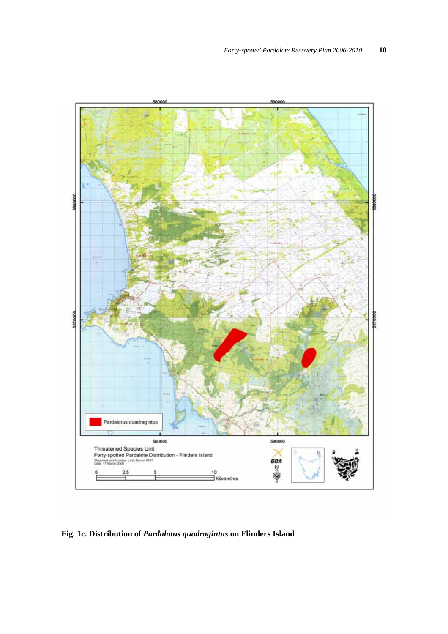

**Fig. 1c. Distribution of** *Pardalotus quadragintus* **on Flinders Island**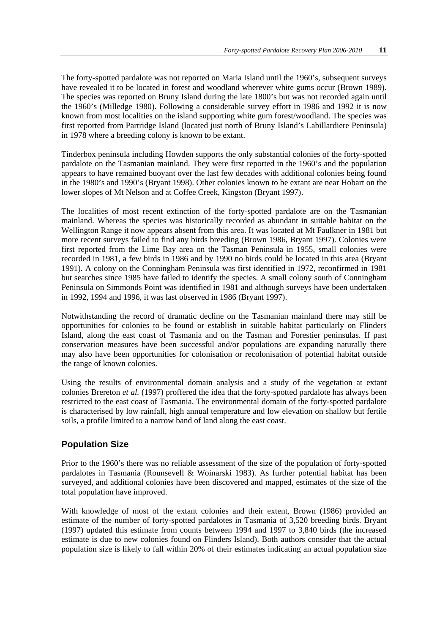The forty-spotted pardalote was not reported on Maria Island until the 1960's, subsequent surveys have revealed it to be located in forest and woodland wherever white gums occur (Brown 1989). The species was reported on Bruny Island during the late 1800's but was not recorded again until the 1960's (Milledge 1980). Following a considerable survey effort in 1986 and 1992 it is now known from most localities on the island supporting white gum forest/woodland. The species was first reported from Partridge Island (located just north of Bruny Island's Labillardiere Peninsula) in 1978 where a breeding colony is known to be extant.

Tinderbox peninsula including Howden supports the only substantial colonies of the forty-spotted pardalote on the Tasmanian mainland. They were first reported in the 1960's and the population appears to have remained buoyant over the last few decades with additional colonies being found in the 1980's and 1990's (Bryant 1998). Other colonies known to be extant are near Hobart on the lower slopes of Mt Nelson and at Coffee Creek, Kingston (Bryant 1997).

The localities of most recent extinction of the forty-spotted pardalote are on the Tasmanian mainland. Whereas the species was historically recorded as abundant in suitable habitat on the Wellington Range it now appears absent from this area. It was located at Mt Faulkner in 1981 but more recent surveys failed to find any birds breeding (Brown 1986, Bryant 1997). Colonies were first reported from the Lime Bay area on the Tasman Peninsula in 1955, small colonies were recorded in 1981, a few birds in 1986 and by 1990 no birds could be located in this area (Bryant 1991). A colony on the Conningham Peninsula was first identified in 1972, reconfirmed in 1981 but searches since 1985 have failed to identify the species. A small colony south of Conningham Peninsula on Simmonds Point was identified in 1981 and although surveys have been undertaken in 1992, 1994 and 1996, it was last observed in 1986 (Bryant 1997).

Notwithstanding the record of dramatic decline on the Tasmanian mainland there may still be opportunities for colonies to be found or establish in suitable habitat particularly on Flinders Island, along the east coast of Tasmania and on the Tasman and Forestier peninsulas. If past conservation measures have been successful and/or populations are expanding naturally there may also have been opportunities for colonisation or recolonisation of potential habitat outside the range of known colonies.

Using the results of environmental domain analysis and a study of the vegetation at extant colonies Brereton *et al.* (1997) proffered the idea that the forty-spotted pardalote has always been restricted to the east coast of Tasmania. The environmental domain of the forty-spotted pardalote is characterised by low rainfall, high annual temperature and low elevation on shallow but fertile soils, a profile limited to a narrow band of land along the east coast.

#### **Population Size**

Prior to the 1960's there was no reliable assessment of the size of the population of forty-spotted pardalotes in Tasmania (Rounsevell & Woinarski 1983). As further potential habitat has been surveyed, and additional colonies have been discovered and mapped, estimates of the size of the total population have improved.

With knowledge of most of the extant colonies and their extent, Brown (1986) provided an estimate of the number of forty-spotted pardalotes in Tasmania of 3,520 breeding birds. Bryant (1997) updated this estimate from counts between 1994 and 1997 to 3,840 birds (the increased estimate is due to new colonies found on Flinders Island). Both authors consider that the actual population size is likely to fall within 20% of their estimates indicating an actual population size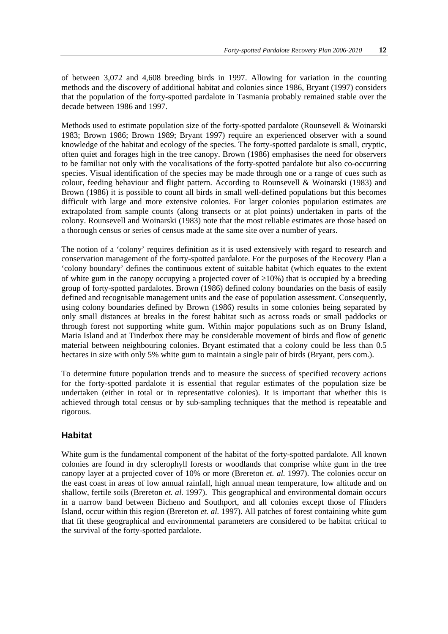of between 3,072 and 4,608 breeding birds in 1997. Allowing for variation in the counting methods and the discovery of additional habitat and colonies since 1986, Bryant (1997) considers that the population of the forty-spotted pardalote in Tasmania probably remained stable over the decade between 1986 and 1997.

Methods used to estimate population size of the forty-spotted pardalote (Rounsevell & Woinarski 1983; Brown 1986; Brown 1989; Bryant 1997) require an experienced observer with a sound knowledge of the habitat and ecology of the species. The forty-spotted pardalote is small, cryptic, often quiet and forages high in the tree canopy. Brown (1986) emphasises the need for observers to be familiar not only with the vocalisations of the forty-spotted pardalote but also co-occurring species. Visual identification of the species may be made through one or a range of cues such as colour, feeding behaviour and flight pattern. According to Rounsevell & Woinarski (1983) and Brown (1986) it is possible to count all birds in small well-defined populations but this becomes difficult with large and more extensive colonies. For larger colonies population estimates are extrapolated from sample counts (along transects or at plot points) undertaken in parts of the colony. Rounsevell and Woinarski (1983) note that the most reliable estimates are those based on a thorough census or series of census made at the same site over a number of years.

The notion of a 'colony' requires definition as it is used extensively with regard to research and conservation management of the forty-spotted pardalote. For the purposes of the Recovery Plan a 'colony boundary' defines the continuous extent of suitable habitat (which equates to the extent of white gum in the canopy occupying a projected cover of  $\geq 10\%$ ) that is occupied by a breeding group of forty-spotted pardalotes. Brown (1986) defined colony boundaries on the basis of easily defined and recognisable management units and the ease of population assessment. Consequently, using colony boundaries defined by Brown (1986) results in some colonies being separated by only small distances at breaks in the forest habitat such as across roads or small paddocks or through forest not supporting white gum. Within major populations such as on Bruny Island, Maria Island and at Tinderbox there may be considerable movement of birds and flow of genetic material between neighbouring colonies. Bryant estimated that a colony could be less than 0.5 hectares in size with only 5% white gum to maintain a single pair of birds (Bryant, pers com.).

To determine future population trends and to measure the success of specified recovery actions for the forty-spotted pardalote it is essential that regular estimates of the population size be undertaken (either in total or in representative colonies). It is important that whether this is achieved through total census or by sub-sampling techniques that the method is repeatable and rigorous.

#### **Habitat**

White gum is the fundamental component of the habitat of the forty-spotted pardalote. All known colonies are found in dry sclerophyll forests or woodlands that comprise white gum in the tree canopy layer at a projected cover of 10% or more (Brereton *et. al.* 1997). The colonies occur on the east coast in areas of low annual rainfall, high annual mean temperature, low altitude and on shallow, fertile soils (Brereton *et. al.* 1997). This geographical and environmental domain occurs in a narrow band between Bicheno and Southport, and all colonies except those of Flinders Island, occur within this region (Brereton *et. al.* 1997). All patches of forest containing white gum that fit these geographical and environmental parameters are considered to be habitat critical to the survival of the forty-spotted pardalote.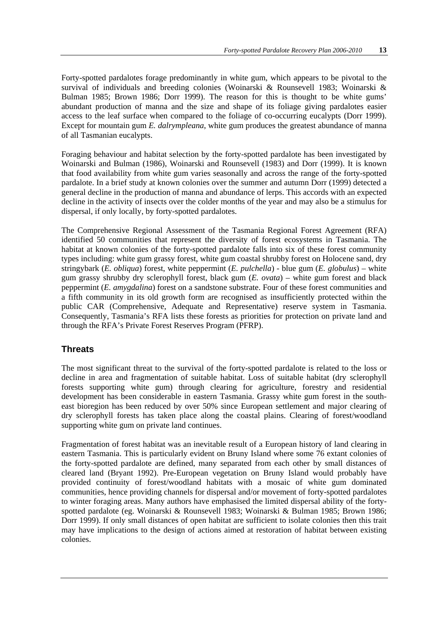Forty-spotted pardalotes forage predominantly in white gum, which appears to be pivotal to the survival of individuals and breeding colonies (Woinarski & Rounsevell 1983; Woinarski & Bulman 1985; Brown 1986; Dorr 1999). The reason for this is thought to be white gums' abundant production of manna and the size and shape of its foliage giving pardalotes easier access to the leaf surface when compared to the foliage of co-occurring eucalypts (Dorr 1999). Except for mountain gum *E. dalrympleana*, white gum produces the greatest abundance of manna of all Tasmanian eucalypts.

Foraging behaviour and habitat selection by the forty-spotted pardalote has been investigated by Woinarski and Bulman (1986), Woinarski and Rounsevell (1983) and Dorr (1999). It is known that food availability from white gum varies seasonally and across the range of the forty-spotted pardalote. In a brief study at known colonies over the summer and autumn Dorr (1999) detected a general decline in the production of manna and abundance of lerps. This accords with an expected decline in the activity of insects over the colder months of the year and may also be a stimulus for dispersal, if only locally, by forty-spotted pardalotes.

The Comprehensive Regional Assessment of the Tasmania Regional Forest Agreement (RFA) identified 50 communities that represent the diversity of forest ecosystems in Tasmania. The habitat at known colonies of the forty-spotted pardalote falls into six of these forest community types including: white gum grassy forest, white gum coastal shrubby forest on Holocene sand, dry stringybark (*E. obliqua*) forest, white peppermint (*E. pulchella*) - blue gum (*E. globulus*) – white gum grassy shrubby dry sclerophyll forest, black gum (*E. ovata*) – white gum forest and black peppermint (*E. amygdalina*) forest on a sandstone substrate. Four of these forest communities and a fifth community in its old growth form are recognised as insufficiently protected within the public CAR (Comprehensive, Adequate and Representative) reserve system in Tasmania. Consequently, Tasmania's RFA lists these forests as priorities for protection on private land and through the RFA's Private Forest Reserves Program (PFRP).

#### **Threats**

The most significant threat to the survival of the forty-spotted pardalote is related to the loss or decline in area and fragmentation of suitable habitat. Loss of suitable habitat (dry sclerophyll forests supporting white gum) through clearing for agriculture, forestry and residential development has been considerable in eastern Tasmania. Grassy white gum forest in the southeast bioregion has been reduced by over 50% since European settlement and major clearing of dry sclerophyll forests has taken place along the coastal plains. Clearing of forest/woodland supporting white gum on private land continues.

Fragmentation of forest habitat was an inevitable result of a European history of land clearing in eastern Tasmania. This is particularly evident on Bruny Island where some 76 extant colonies of the forty-spotted pardalote are defined, many separated from each other by small distances of cleared land (Bryant 1992). Pre-European vegetation on Bruny Island would probably have provided continuity of forest/woodland habitats with a mosaic of white gum dominated communities, hence providing channels for dispersal and/or movement of forty-spotted pardalotes to winter foraging areas. Many authors have emphasised the limited dispersal ability of the fortyspotted pardalote (eg. Woinarski & Rounsevell 1983; Woinarski & Bulman 1985; Brown 1986; Dorr 1999). If only small distances of open habitat are sufficient to isolate colonies then this trait may have implications to the design of actions aimed at restoration of habitat between existing colonies.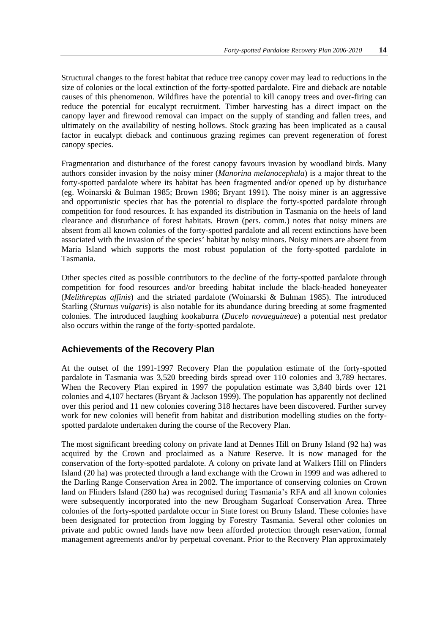Structural changes to the forest habitat that reduce tree canopy cover may lead to reductions in the size of colonies or the local extinction of the forty-spotted pardalote. Fire and dieback are notable causes of this phenomenon. Wildfires have the potential to kill canopy trees and over-firing can reduce the potential for eucalypt recruitment. Timber harvesting has a direct impact on the canopy layer and firewood removal can impact on the supply of standing and fallen trees, and ultimately on the availability of nesting hollows. Stock grazing has been implicated as a causal factor in eucalypt dieback and continuous grazing regimes can prevent regeneration of forest canopy species.

Fragmentation and disturbance of the forest canopy favours invasion by woodland birds. Many authors consider invasion by the noisy miner (*Manorina melanocephala*) is a major threat to the forty-spotted pardalote where its habitat has been fragmented and/or opened up by disturbance (eg. Woinarski & Bulman 1985; Brown 1986; Bryant 1991). The noisy miner is an aggressive and opportunistic species that has the potential to displace the forty-spotted pardalote through competition for food resources. It has expanded its distribution in Tasmania on the heels of land clearance and disturbance of forest habitats. Brown (pers. comm.) notes that noisy miners are absent from all known colonies of the forty-spotted pardalote and all recent extinctions have been associated with the invasion of the species' habitat by noisy minors. Noisy miners are absent from Maria Island which supports the most robust population of the forty-spotted pardalote in Tasmania.

Other species cited as possible contributors to the decline of the forty-spotted pardalote through competition for food resources and/or breeding habitat include the black-headed honeyeater (*Melithreptus affinis*) and the striated pardalote (Woinarski & Bulman 1985). The introduced Starling (*Sturnus vulgaris*) is also notable for its abundance during breeding at some fragmented colonies. The introduced laughing kookaburra (*Dacelo novaeguineae*) a potential nest predator also occurs within the range of the forty-spotted pardalote.

#### **Achievements of the Recovery Plan**

At the outset of the 1991-1997 Recovery Plan the population estimate of the forty-spotted pardalote in Tasmania was 3,520 breeding birds spread over 110 colonies and 3,789 hectares. When the Recovery Plan expired in 1997 the population estimate was 3,840 birds over 121 colonies and 4,107 hectares (Bryant & Jackson 1999). The population has apparently not declined over this period and 11 new colonies covering 318 hectares have been discovered. Further survey work for new colonies will benefit from habitat and distribution modelling studies on the fortyspotted pardalote undertaken during the course of the Recovery Plan.

The most significant breeding colony on private land at Dennes Hill on Bruny Island (92 ha) was acquired by the Crown and proclaimed as a Nature Reserve. It is now managed for the conservation of the forty-spotted pardalote. A colony on private land at Walkers Hill on Flinders Island (20 ha) was protected through a land exchange with the Crown in 1999 and was adhered to the Darling Range Conservation Area in 2002. The importance of conserving colonies on Crown land on Flinders Island (280 ha) was recognised during Tasmania's RFA and all known colonies were subsequently incorporated into the new Brougham Sugarloaf Conservation Area. Three colonies of the forty-spotted pardalote occur in State forest on Bruny Island. These colonies have been designated for protection from logging by Forestry Tasmania. Several other colonies on private and public owned lands have now been afforded protection through reservation, formal management agreements and/or by perpetual covenant. Prior to the Recovery Plan approximately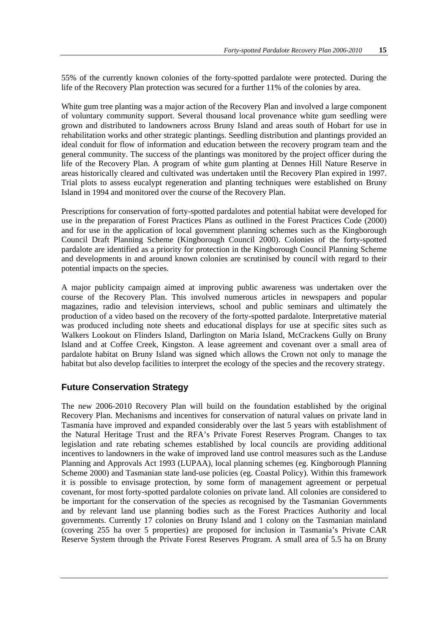55% of the currently known colonies of the forty-spotted pardalote were protected. During the life of the Recovery Plan protection was secured for a further 11% of the colonies by area.

White gum tree planting was a major action of the Recovery Plan and involved a large component of voluntary community support. Several thousand local provenance white gum seedling were grown and distributed to landowners across Bruny Island and areas south of Hobart for use in rehabilitation works and other strategic plantings. Seedling distribution and plantings provided an ideal conduit for flow of information and education between the recovery program team and the general community. The success of the plantings was monitored by the project officer during the life of the Recovery Plan. A program of white gum planting at Dennes Hill Nature Reserve in areas historically cleared and cultivated was undertaken until the Recovery Plan expired in 1997. Trial plots to assess eucalypt regeneration and planting techniques were established on Bruny Island in 1994 and monitored over the course of the Recovery Plan.

Prescriptions for conservation of forty-spotted pardalotes and potential habitat were developed for use in the preparation of Forest Practices Plans as outlined in the Forest Practices Code (2000) and for use in the application of local government planning schemes such as the Kingborough Council Draft Planning Scheme (Kingborough Council 2000). Colonies of the forty-spotted pardalote are identified as a priority for protection in the Kingborough Council Planning Scheme and developments in and around known colonies are scrutinised by council with regard to their potential impacts on the species.

A major publicity campaign aimed at improving public awareness was undertaken over the course of the Recovery Plan. This involved numerous articles in newspapers and popular magazines, radio and television interviews, school and public seminars and ultimately the production of a video based on the recovery of the forty-spotted pardalote. Interpretative material was produced including note sheets and educational displays for use at specific sites such as Walkers Lookout on Flinders Island, Darlington on Maria Island, McCrackens Gully on Bruny Island and at Coffee Creek, Kingston. A lease agreement and covenant over a small area of pardalote habitat on Bruny Island was signed which allows the Crown not only to manage the habitat but also develop facilities to interpret the ecology of the species and the recovery strategy.

#### **Future Conservation Strategy**

The new 2006-2010 Recovery Plan will build on the foundation established by the original Recovery Plan. Mechanisms and incentives for conservation of natural values on private land in Tasmania have improved and expanded considerably over the last 5 years with establishment of the Natural Heritage Trust and the RFA's Private Forest Reserves Program. Changes to tax legislation and rate rebating schemes established by local councils are providing additional incentives to landowners in the wake of improved land use control measures such as the Landuse Planning and Approvals Act 1993 (LUPAA), local planning schemes (eg. Kingborough Planning Scheme 2000) and Tasmanian state land-use policies (eg. Coastal Policy). Within this framework it is possible to envisage protection, by some form of management agreement or perpetual covenant, for most forty-spotted pardalote colonies on private land. All colonies are considered to be important for the conservation of the species as recognised by the Tasmanian Governments and by relevant land use planning bodies such as the Forest Practices Authority and local governments. Currently 17 colonies on Bruny Island and 1 colony on the Tasmanian mainland (covering 255 ha over 5 properties) are proposed for inclusion in Tasmania's Private CAR Reserve System through the Private Forest Reserves Program. A small area of 5.5 ha on Bruny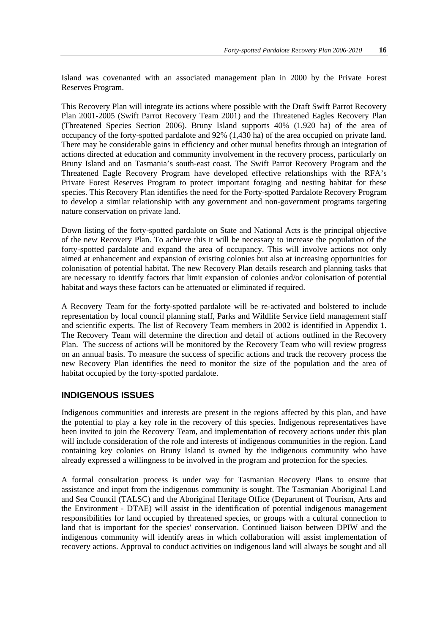Island was covenanted with an associated management plan in 2000 by the Private Forest Reserves Program.

This Recovery Plan will integrate its actions where possible with the Draft Swift Parrot Recovery Plan 2001-2005 (Swift Parrot Recovery Team 2001) and the Threatened Eagles Recovery Plan (Threatened Species Section 2006). Bruny Island supports 40% (1,920 ha) of the area of occupancy of the forty-spotted pardalote and 92% (1,430 ha) of the area occupied on private land. There may be considerable gains in efficiency and other mutual benefits through an integration of actions directed at education and community involvement in the recovery process, particularly on Bruny Island and on Tasmania's south-east coast. The Swift Parrot Recovery Program and the Threatened Eagle Recovery Program have developed effective relationships with the RFA's Private Forest Reserves Program to protect important foraging and nesting habitat for these species. This Recovery Plan identifies the need for the Forty-spotted Pardalote Recovery Program to develop a similar relationship with any government and non-government programs targeting nature conservation on private land.

Down listing of the forty-spotted pardalote on State and National Acts is the principal objective of the new Recovery Plan. To achieve this it will be necessary to increase the population of the forty-spotted pardalote and expand the area of occupancy. This will involve actions not only aimed at enhancement and expansion of existing colonies but also at increasing opportunities for colonisation of potential habitat. The new Recovery Plan details research and planning tasks that are necessary to identify factors that limit expansion of colonies and/or colonisation of potential habitat and ways these factors can be attenuated or eliminated if required.

A Recovery Team for the forty-spotted pardalote will be re-activated and bolstered to include representation by local council planning staff, Parks and Wildlife Service field management staff and scientific experts. The list of Recovery Team members in 2002 is identified in Appendix 1. The Recovery Team will determine the direction and detail of actions outlined in the Recovery Plan. The success of actions will be monitored by the Recovery Team who will review progress on an annual basis. To measure the success of specific actions and track the recovery process the new Recovery Plan identifies the need to monitor the size of the population and the area of habitat occupied by the forty-spotted pardalote.

#### **INDIGENOUS ISSUES**

Indigenous communities and interests are present in the regions affected by this plan, and have the potential to play a key role in the recovery of this species. Indigenous representatives have been invited to join the Recovery Team, and implementation of recovery actions under this plan will include consideration of the role and interests of indigenous communities in the region. Land containing key colonies on Bruny Island is owned by the indigenous community who have already expressed a willingness to be involved in the program and protection for the species.

A formal consultation process is under way for Tasmanian Recovery Plans to ensure that assistance and input from the indigenous community is sought. The Tasmanian Aboriginal Land and Sea Council (TALSC) and the Aboriginal Heritage Office (Department of Tourism, Arts and the Environment - DTAE) will assist in the identification of potential indigenous management responsibilities for land occupied by threatened species, or groups with a cultural connection to land that is important for the species' conservation. Continued liaison between DPIW and the indigenous community will identify areas in which collaboration will assist implementation of recovery actions. Approval to conduct activities on indigenous land will always be sought and all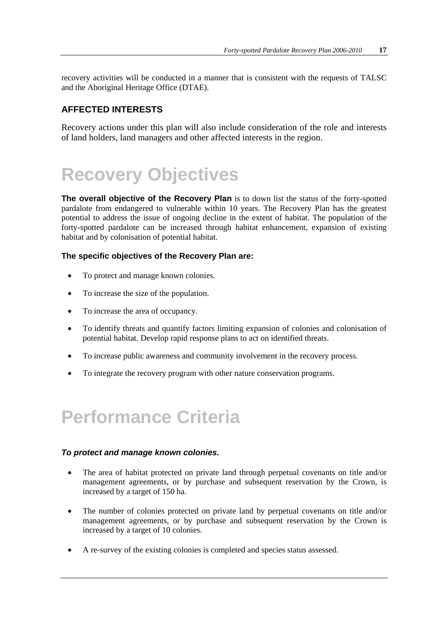recovery activities will be conducted in a manner that is consistent with the requests of TALSC and the Aboriginal Heritage Office (DTAE).

#### **AFFECTED INTERESTS**

Recovery actions under this plan will also include consideration of the role and interests of land holders, land managers and other affected interests in the region.

# **Recovery Objectives**

**The overall objective of the Recovery Plan** is to down list the status of the forty-spotted pardalote from endangered to vulnerable within 10 years. The Recovery Plan has the greatest potential to address the issue of ongoing decline in the extent of habitat. The population of the forty-spotted pardalote can be increased through habitat enhancement, expansion of existing habitat and by colonisation of potential habitat.

#### **The specific objectives of the Recovery Plan are:**

- To protect and manage known colonies.
- To increase the size of the population.
- To increase the area of occupancy.
- To identify threats and quantify factors limiting expansion of colonies and colonisation of potential habitat. Develop rapid response plans to act on identified threats.
- To increase public awareness and community involvement in the recovery process.
- To integrate the recovery program with other nature conservation programs.

### **Performance Criteria**

#### *To protect and manage known colonies.*

- The area of habitat protected on private land through perpetual covenants on title and/or management agreements, or by purchase and subsequent reservation by the Crown, is increased by a target of 150 ha.
- The number of colonies protected on private land by perpetual covenants on title and/or management agreements, or by purchase and subsequent reservation by the Crown is increased by a target of 10 colonies.
- A re-survey of the existing colonies is completed and species status assessed.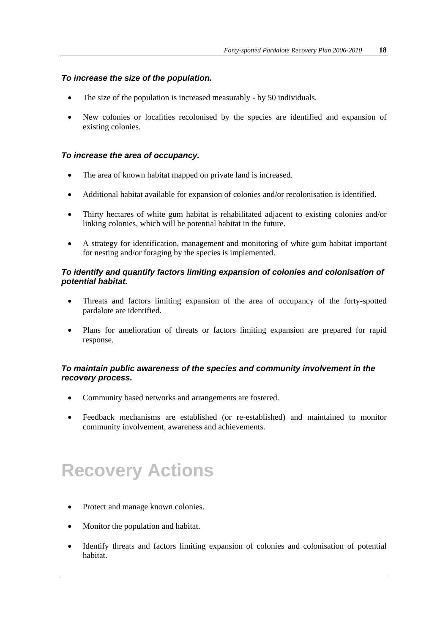#### *To increase the size of the population.*

- The size of the population is increased measurably by 50 individuals.
- New colonies or localities recolonised by the species are identified and expansion of existing colonies.

#### *To increase the area of occupancy.*

- The area of known habitat mapped on private land is increased.
- Additional habitat available for expansion of colonies and/or recolonisation is identified.
- Thirty hectares of white gum habitat is rehabilitated adjacent to existing colonies and/or linking colonies, which will be potential habitat in the future.
- A strategy for identification, management and monitoring of white gum habitat important for nesting and/or foraging by the species is implemented.

#### *To identify and quantify factors limiting expansion of colonies and colonisation of potential habitat.*

- Threats and factors limiting expansion of the area of occupancy of the forty-spotted pardalote are identified.
- Plans for amelioration of threats or factors limiting expansion are prepared for rapid response.

#### *To maintain public awareness of the species and community involvement in the recovery process.*

- Community based networks and arrangements are fostered.
- Feedback mechanisms are established (or re-established) and maintained to monitor community involvement, awareness and achievements.

### **Recovery Actions**

- Protect and manage known colonies.
- Monitor the population and habitat.
- Identify threats and factors limiting expansion of colonies and colonisation of potential habitat.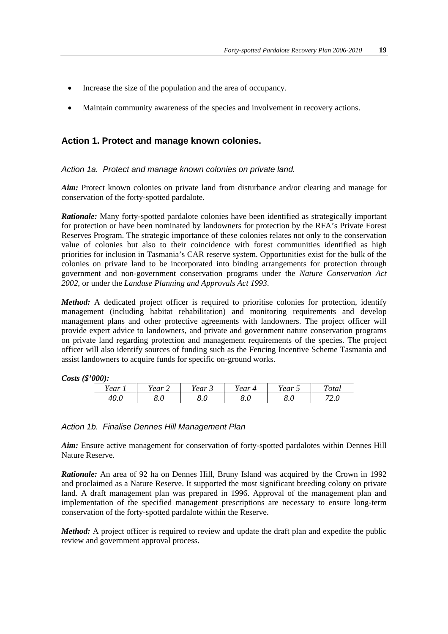- Increase the size of the population and the area of occupancy.
- Maintain community awareness of the species and involvement in recovery actions.

#### **Action 1. Protect and manage known colonies.**

#### *Action 1a. Protect and manage known colonies on private land.*

*Aim:* Protect known colonies on private land from disturbance and/or clearing and manage for conservation of the forty-spotted pardalote.

*Rationale:* Many forty-spotted pardalote colonies have been identified as strategically important for protection or have been nominated by landowners for protection by the RFA's Private Forest Reserves Program. The strategic importance of these colonies relates not only to the conservation value of colonies but also to their coincidence with forest communities identified as high priorities for inclusion in Tasmania's CAR reserve system. Opportunities exist for the bulk of the colonies on private land to be incorporated into binding arrangements for protection through government and non-government conservation programs under the *Nature Conservation Act 2002*, or under the *Landuse Planning and Approvals Act 1993*.

*Method:* A dedicated project officer is required to prioritise colonies for protection, identify management (including habitat rehabilitation) and monitoring requirements and develop management plans and other protective agreements with landowners. The project officer will provide expert advice to landowners, and private and government nature conservation programs on private land regarding protection and management requirements of the species. The project officer will also identify sources of funding such as the Fencing Incentive Scheme Tasmania and assist landowners to acquire funds for specific on-ground works.

#### *Costs (\$'000):*

| v v                            | --    | ear        | rear     | --   | ~    |
|--------------------------------|-------|------------|----------|------|------|
| Year                           | l ear | ັ          | $\prime$ | Year | otal |
| $\overline{10}$ $\overline{0}$ | O     | $\sqrt{ }$ | oσ       | O    | ⇁⌒   |
| 40.U                           | J.U   | o.u        | ∪.∪      | ο.υ  | 2. U |

#### *Action 1b. Finalise Dennes Hill Management Plan*

*Aim:* Ensure active management for conservation of forty-spotted pardalotes within Dennes Hill Nature Reserve.

*Rationale:* An area of 92 ha on Dennes Hill, Bruny Island was acquired by the Crown in 1992 and proclaimed as a Nature Reserve. It supported the most significant breeding colony on private land. A draft management plan was prepared in 1996. Approval of the management plan and implementation of the specified management prescriptions are necessary to ensure long-term conservation of the forty-spotted pardalote within the Reserve.

*Method:* A project officer is required to review and update the draft plan and expedite the public review and government approval process.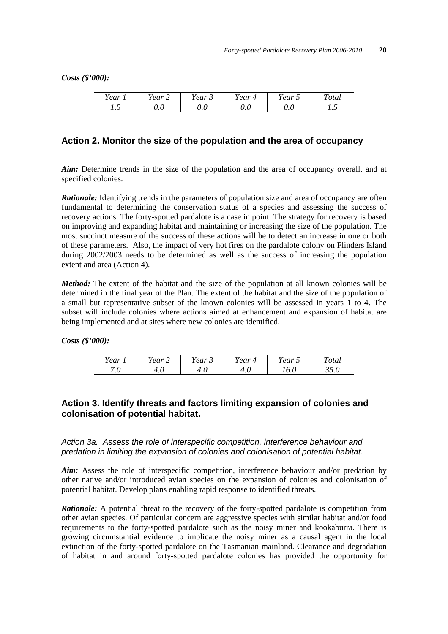*Costs (\$'000):*

| --<br>rear | - -<br>'ear<br>∼ | --<br>'ear<br>ັ | 'ear<br>$\Delta$ | --<br>Year<br>~ | ᠇᠇<br><sup>otal</sup> |
|------------|------------------|-----------------|------------------|-----------------|-----------------------|
| -<br>. . J | v.v              | ⌒<br>v.u        | v.u              | v.v             | $\cdot\cdot$          |

#### **Action 2. Monitor the size of the population and the area of occupancy**

*Aim:* Determine trends in the size of the population and the area of occupancy overall, and at specified colonies.

*Rationale:* Identifying trends in the parameters of population size and area of occupancy are often fundamental to determining the conservation status of a species and assessing the success of recovery actions. The forty-spotted pardalote is a case in point. The strategy for recovery is based on improving and expanding habitat and maintaining or increasing the size of the population. The most succinct measure of the success of these actions will be to detect an increase in one or both of these parameters. Also, the impact of very hot fires on the pardalote colony on Flinders Island during 2002/2003 needs to be determined as well as the success of increasing the population extent and area (Action 4).

*Method:* The extent of the habitat and the size of the population at all known colonies will be determined in the final year of the Plan. The extent of the habitat and the size of the population of a small but representative subset of the known colonies will be assessed in years 1 to 4. The subset will include colonies where actions aimed at enhancement and expansion of habitat are being implemented and at sites where new colonies are identified.

*Costs (\$'000):*

| --<br>l ear                         | T Z<br>rear | - -<br>ear<br>ັ | Year<br>$\Delta$ | $ -$<br>Year<br>$\overline{\phantom{0}}$ | ~<br>otal |
|-------------------------------------|-------------|-----------------|------------------|------------------------------------------|-----------|
| $\sqrt{2}$<br>$\overline{ }$<br>. U | 7.U         | 7.U             | 7.U              | v.v                                      | -<br>JJ.V |

#### **Action 3. Identify threats and factors limiting expansion of colonies and colonisation of potential habitat.**

*Action 3a. Assess the role of interspecific competition, interference behaviour and predation in limiting the expansion of colonies and colonisation of potential habitat.*

*Aim:* Assess the role of interspecific competition, interference behaviour and/or predation by other native and/or introduced avian species on the expansion of colonies and colonisation of potential habitat. Develop plans enabling rapid response to identified threats.

*Rationale:* A potential threat to the recovery of the forty-spotted pardalote is competition from other avian species. Of particular concern are aggressive species with similar habitat and/or food requirements to the forty-spotted pardalote such as the noisy miner and kookaburra. There is growing circumstantial evidence to implicate the noisy miner as a causal agent in the local extinction of the forty-spotted pardalote on the Tasmanian mainland. Clearance and degradation of habitat in and around forty-spotted pardalote colonies has provided the opportunity for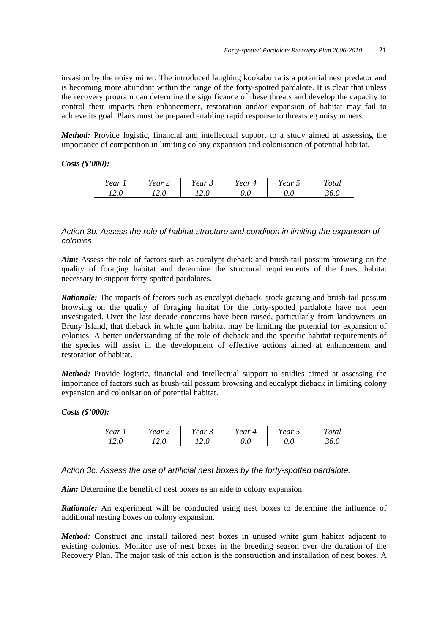invasion by the noisy miner. The introduced laughing kookaburra is a potential nest predator and is becoming more abundant within the range of the forty-spotted pardalote. It is clear that unless the recovery program can determine the significance of these threats and develop the capacity to control their impacts then enhancement, restoration and/or expansion of habitat may fail to achieve its goal. Plans must be prepared enabling rapid response to threats eg noisy miners.

*Method:* Provide logistic, financial and intellectual support to a study aimed at assessing the importance of competition in limiting colony expansion and colonisation of potential habitat.

*Costs (\$'000):*

| rear           | lear | rear<br>ັ             | ear 4   | Year<br>~ | ᠇᠇<br><i>otal</i> |
|----------------|------|-----------------------|---------|-----------|-------------------|
| $\sim$<br>14.U | .∠.∪ | $\rightarrow$<br>14.U | $0.0\,$ | 0.0       | ີ້<br>JU.U        |

#### *Action 3b. Assess the role of habitat structure and condition in limiting the expansion of colonies.*

*Aim:* Assess the role of factors such as eucalypt dieback and brush-tail possum browsing on the quality of foraging habitat and determine the structural requirements of the forest habitat necessary to support forty-spotted pardalotes.

*Rationale:* The impacts of factors such as eucalypt dieback, stock grazing and brush-tail possum browsing on the quality of foraging habitat for the forty-spotted pardalote have not been investigated. Over the last decade concerns have been raised, particularly from landowners on Bruny Island, that dieback in white gum habitat may be limiting the potential for expansion of colonies. A better understanding of the role of dieback and the specific habitat requirements of the species will assist in the development of effective actions aimed at enhancement and restoration of habitat.

*Method:* Provide logistic, financial and intellectual support to studies aimed at assessing the importance of factors such as brush-tail possum browsing and eucalypt dieback in limiting colony expansion and colonisation of potential habitat.

*Costs (\$'000):*

| <i>rear</i> | ear             | --<br>rear<br>◡ | ear | $ -$<br>rear<br>ب | ᠇᠇<br>otal |  |
|-------------|-----------------|-----------------|-----|-------------------|------------|--|
| 12.0        | $\sim$ . $\cup$ | $\sim$<br>14.U  | v.u | v.u               | JU.U       |  |

*Action 3c. Assess the use of artificial nest boxes by the forty-spotted pardalote.*

*Aim:* Determine the benefit of nest boxes as an aide to colony expansion.

*Rationale:* An experiment will be conducted using nest boxes to determine the influence of additional nesting boxes on colony expansion.

*Method:* Construct and install tailored nest boxes in unused white gum habitat adjacent to existing colonies. Monitor use of nest boxes in the breeding season over the duration of the Recovery Plan. The major task of this action is the construction and installation of nest boxes. A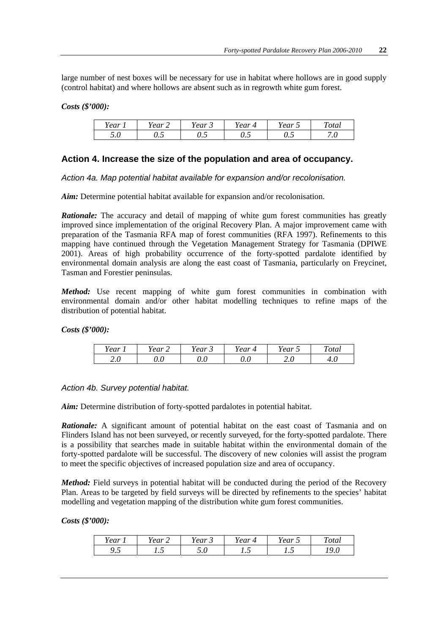large number of nest boxes will be necessary for use in habitat where hollows are in good supply (control habitat) and where hollows are absent such as in regrowth white gum forest.

#### *Costs (\$'000):*

| Year | --<br>rear<br>- | rear<br>ັ | rear<br>$\prime\prime$ | --<br>Year<br>$\overline{\phantom{0}}$ | $\sim$<br><sup>otal</sup>                   |
|------|-----------------|-----------|------------------------|----------------------------------------|---------------------------------------------|
| J.U  | ◡.◡             | ◡.◡       | -<br>∪.∪               | ◡.◡                                    | $\overline{\phantom{0}}$<br>$\cdot$ $\circ$ |

#### **Action 4. Increase the size of the population and area of occupancy.**

*Action 4a. Map potential habitat available for expansion and/or recolonisation.*

*Aim:* Determine potential habitat available for expansion and/or recolonisation.

*Rationale:* The accuracy and detail of mapping of white gum forest communities has greatly improved since implementation of the original Recovery Plan. A major improvement came with preparation of the Tasmania RFA map of forest communities (RFA 1997). Refinements to this mapping have continued through the Vegetation Management Strategy for Tasmania (DPIWE 2001). Areas of high probability occurrence of the forty-spotted pardalote identified by environmental domain analysis are along the east coast of Tasmania, particularly on Freycinet, Tasman and Forestier peninsulas.

*Method:* Use recent mapping of white gum forest communities in combination with environmental domain and/or other habitat modelling techniques to refine maps of the distribution of potential habitat.

*Costs (\$'000):*

| T T<br>Year | --<br>ear | - -<br>Year<br>$\overline{\phantom{a}}$ | <i>rear</i><br>$\overline{\phantom{a}}$ | - -<br>rear<br>$\overline{\phantom{a}}$ | $\sim$<br><sup>otal</sup> |
|-------------|-----------|-----------------------------------------|-----------------------------------------|-----------------------------------------|---------------------------|
| ⌒<br>∠.∪    | v.u       | ∪.∪                                     | $\epsilon$<br>v.u                       | ⌒<br>∠.∪                                | –∙.∪                      |

*Action 4b. Survey potential habitat.*

*Aim:* Determine distribution of forty-spotted pardalotes in potential habitat.

*Rationale:* A significant amount of potential habitat on the east coast of Tasmania and on Flinders Island has not been surveyed, or recently surveyed, for the forty-spotted pardalote. There is a possibility that searches made in suitable habitat within the environmental domain of the forty-spotted pardalote will be successful. The discovery of new colonies will assist the program to meet the specific objectives of increased population size and area of occupancy.

*Method:* Field surveys in potential habitat will be conducted during the period of the Recovery Plan. Areas to be targeted by field surveys will be directed by refinements to the species' habitat modelling and vegetation mapping of the distribution white gum forest communities.

#### *Costs (\$'000):*

| ear               | $\rho$ ar<br>∼<br><b>car</b> | --<br>ear<br>ັ       | . ear<br>⊿                        | --<br>Year<br>$\overline{\phantom{0}}$ | $\sim$<br>otal         |
|-------------------|------------------------------|----------------------|-----------------------------------|----------------------------------------|------------------------|
| -<br><b>∕ ∙ ∕</b> | . . J                        | -<br>$\cup$ . $\cup$ | $\overline{\phantom{0}}$<br>. . J | 1.J                                    | $\sim$<br>. .<br>1 Z.U |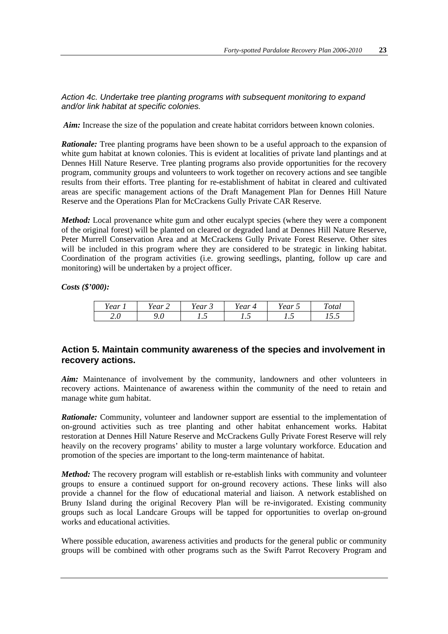*Action 4c. Undertake tree planting programs with subsequent monitoring to expand and/or link habitat at specific colonies.*

*Aim:* Increase the size of the population and create habitat corridors between known colonies.

*Rationale:* Tree planting programs have been shown to be a useful approach to the expansion of white gum habitat at known colonies. This is evident at localities of private land plantings and at Dennes Hill Nature Reserve. Tree planting programs also provide opportunities for the recovery program, community groups and volunteers to work together on recovery actions and see tangible results from their efforts. Tree planting for re-establishment of habitat in cleared and cultivated areas are specific management actions of the Draft Management Plan for Dennes Hill Nature Reserve and the Operations Plan for McCrackens Gully Private CAR Reserve.

*Method:* Local provenance white gum and other eucalypt species (where they were a component of the original forest) will be planted on cleared or degraded land at Dennes Hill Nature Reserve, Peter Murrell Conservation Area and at McCrackens Gully Private Forest Reserve. Other sites will be included in this program where they are considered to be strategic in linking habitat. Coordination of the program activities (i.e. growing seedlings, planting, follow up care and monitoring) will be undertaken by a project officer.

*Costs (\$'000):*

| rear                | ear.<br>∼ | --<br>'ear<br>ັ | ear          | o ar<br>1 eur<br>ັ | ᠇᠇<br>otal          |
|---------------------|-----------|-----------------|--------------|--------------------|---------------------|
| $\sim\cdot$ $\circ$ | ۶.U       | $\cdot \cdot$   | $\cdot\cdot$ | $\cdot \cdot$      | $1 \cup \cdot \cup$ |

#### **Action 5. Maintain community awareness of the species and involvement in recovery actions.**

*Aim:* Maintenance of involvement by the community, landowners and other volunteers in recovery actions. Maintenance of awareness within the community of the need to retain and manage white gum habitat.

*Rationale:* Community, volunteer and landowner support are essential to the implementation of on-ground activities such as tree planting and other habitat enhancement works. Habitat restoration at Dennes Hill Nature Reserve and McCrackens Gully Private Forest Reserve will rely heavily on the recovery programs' ability to muster a large voluntary workforce. Education and promotion of the species are important to the long-term maintenance of habitat.

*Method:* The recovery program will establish or re-establish links with community and volunteer groups to ensure a continued support for on-ground recovery actions. These links will also provide a channel for the flow of educational material and liaison. A network established on Bruny Island during the original Recovery Plan will be re-invigorated. Existing community groups such as local Landcare Groups will be tapped for opportunities to overlap on-ground works and educational activities.

Where possible education, awareness activities and products for the general public or community groups will be combined with other programs such as the Swift Parrot Recovery Program and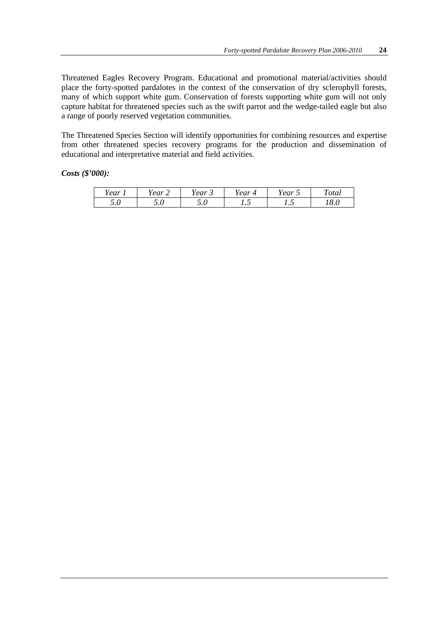Threatened Eagles Recovery Program. Educational and promotional material/activities should place the forty-spotted pardalotes in the context of the conservation of dry sclerophyll forests, many of which support white gum. Conservation of forests supporting white gum will not only capture habitat for threatened species such as the swift parrot and the wedge-tailed eagle but also a range of poorly reserved vegetation communities.

The Threatened Species Section will identify opportunities for combining resources and expertise from other threatened species recovery programs for the production and dissemination of educational and interpretative material and field activities.

#### *Costs (\$'000):*

| - -<br>rear                         | T Z<br>rear<br>∽ | - -<br>ear<br>ັ | rear<br>∠ | $ -$<br>'ear<br>$\overline{\phantom{0}}$ | ~<br><i>otal</i>    |
|-------------------------------------|------------------|-----------------|-----------|------------------------------------------|---------------------|
| $\sqrt{2}$<br>$\cup\, \cdot\, \cup$ | ັ∙ັ              | ັ∙ັ             | . . J     | . . J                                    | $^{\circ}$ O<br>v.v |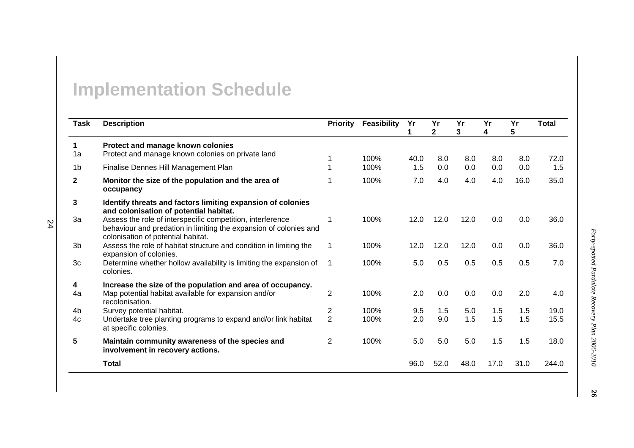# **Implementation Schedule**

| <b>Task</b>    | <b>Description</b>                                                                                                                                                    | <b>Priority</b> | <b>Feasibility</b> | Yr   | Yr<br>$\overline{2}$ | Yr<br>3 | Yr<br>4 | Yr<br>5 | <b>Total</b> |
|----------------|-----------------------------------------------------------------------------------------------------------------------------------------------------------------------|-----------------|--------------------|------|----------------------|---------|---------|---------|--------------|
| 1              | Protect and manage known colonies                                                                                                                                     |                 |                    |      |                      |         |         |         |              |
| 1a             | Protect and manage known colonies on private land                                                                                                                     |                 | 100%               | 40.0 | 8.0                  | 8.0     | 8.0     | 8.0     | 72.0         |
| 1b             | Finalise Dennes Hill Management Plan                                                                                                                                  |                 | 100%               | 1.5  | 0.0                  | 0.0     | 0.0     | 0.0     | 1.5          |
| $\mathbf{2}$   | Monitor the size of the population and the area of<br>occupancy                                                                                                       |                 | 100%               | 7.0  | 4.0                  | 4.0     | 4.0     | 16.0    | 35.0         |
| 3              | Identify threats and factors limiting expansion of colonies<br>and colonisation of potential habitat.                                                                 |                 |                    |      |                      |         |         |         |              |
| 3a             | Assess the role of interspecific competition, interference<br>behaviour and predation in limiting the expansion of colonies and<br>colonisation of potential habitat. |                 | 100%               | 12.0 | 12.0                 | 12.0    | 0.0     | 0.0     | 36.0         |
| 3 <sub>b</sub> | Assess the role of habitat structure and condition in limiting the<br>expansion of colonies.                                                                          |                 | 100%               | 12.0 | 12.0                 | 12.0    | 0.0     | 0.0     | 36.0         |
| 3 <sub>c</sub> | Determine whether hollow availability is limiting the expansion of<br>colonies.                                                                                       |                 | 100%               | 5.0  | 0.5                  | 0.5     | 0.5     | 0.5     | 7.0          |
| 4              | Increase the size of the population and area of occupancy.                                                                                                            |                 |                    |      |                      |         |         |         |              |
| 4a             | Map potential habitat available for expansion and/or<br>recolonisation.                                                                                               | $\overline{2}$  | 100%               | 2.0  | 0.0                  | 0.0     | 0.0     | 2.0     | 4.0          |
| 4 <sub>b</sub> | Survey potential habitat.                                                                                                                                             | 2               | 100%               | 9.5  | 1.5                  | 5.0     | 1.5     | 1.5     | 19.0         |
| 4c             | Undertake tree planting programs to expand and/or link habitat<br>at specific colonies.                                                                               | $\overline{2}$  | 100%               | 2.0  | 9.0                  | 1.5     | 1.5     | 1.5     | 15.5         |
| 5              | Maintain community awareness of the species and<br>involvement in recovery actions.                                                                                   | $\overline{2}$  | 100%               | 5.0  | 5.0                  | 5.0     | 1.5     | 1.5     | 18.0         |
|                | <b>Total</b>                                                                                                                                                          |                 |                    | 96.0 | 52.0                 | 48.0    | 17.0    | 31.0    | 244.0        |

24

**26**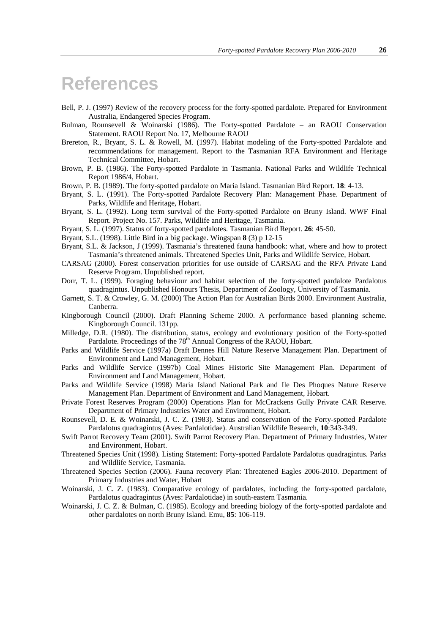### **References**

- Bell, P. J. (1997) Review of the recovery process for the forty-spotted pardalote. Prepared for Environment Australia, Endangered Species Program.
- Bulman, Rounsevell & Woinarski (1986). The Forty-spotted Pardalote an RAOU Conservation Statement. RAOU Report No. 17, Melbourne RAOU
- Brereton, R., Bryant, S. L. & Rowell, M. (1997). Habitat modeling of the Forty-spotted Pardalote and recommendations for management. Report to the Tasmanian RFA Environment and Heritage Technical Committee, Hobart.
- Brown, P. B. (1986). The Forty-spotted Pardalote in Tasmania. National Parks and Wildlife Technical Report 1986/4, Hobart.
- Brown, P. B. (1989). The forty-spotted pardalote on Maria Island. Tasmanian Bird Report. **18**: 4-13.
- Bryant, S. L. (1991). The Forty-spotted Pardalote Recovery Plan: Management Phase. Department of Parks, Wildlife and Heritage, Hobart.
- Bryant, S. L. (1992). Long term survival of the Forty-spotted Pardalote on Bruny Island. WWF Final Report. Project No. 157. Parks, Wildlife and Heritage, Tasmania.
- Bryant, S. L. (1997). Status of forty-spotted pardalotes. Tasmanian Bird Report. **26**: 45-50.
- Bryant, S.L. (1998). Little Bird in a big package. Wingspan **8** (3) p 12-15
- Bryant, S.L. & Jackson, J (1999). Tasmania's threatened fauna handbook: what, where and how to protect Tasmania's threatened animals. Threatened Species Unit, Parks and Wildlife Service, Hobart.
- CARSAG (2000). Forest conservation priorities for use outside of CARSAG and the RFA Private Land Reserve Program. Unpublished report.
- Dorr, T. L. (1999). Foraging behaviour and habitat selection of the forty-spotted pardalote Pardalotus quadragintus. Unpublished Honours Thesis, Department of Zoology, University of Tasmania.
- Garnett, S. T. & Crowley, G. M. (2000) The Action Plan for Australian Birds 2000. Environment Australia, Canberra.
- Kingborough Council (2000). Draft Planning Scheme 2000. A performance based planning scheme. Kingborough Council. 131pp.
- Milledge, D.R. (1980). The distribution, status, ecology and evolutionary position of the Forty-spotted Pardalote. Proceedings of the 78<sup>th</sup> Annual Congress of the RAOU, Hobart.
- Parks and Wildlife Service (1997a) Draft Dennes Hill Nature Reserve Management Plan. Department of Environment and Land Management, Hobart.
- Parks and Wildlife Service (1997b) Coal Mines Historic Site Management Plan. Department of Environment and Land Management, Hobart.
- Parks and Wildlife Service (1998) Maria Island National Park and Ile Des Phoques Nature Reserve Management Plan. Department of Environment and Land Management, Hobart.
- Private Forest Reserves Program (2000) Operations Plan for McCrackens Gully Private CAR Reserve. Department of Primary Industries Water and Environment, Hobart.
- Rounsevell, D. E. & Woinarski, J. C. Z. (1983). Status and conservation of the Forty-spotted Pardalote Pardalotus quadragintus (Aves: Pardalotidae). Australian Wildlife Research, **10**:343-349.
- Swift Parrot Recovery Team (2001). Swift Parrot Recovery Plan. Department of Primary Industries, Water and Environment, Hobart.
- Threatened Species Unit (1998). Listing Statement: Forty-spotted Pardalote Pardalotus quadragintus. Parks and Wildlife Service, Tasmania.
- Threatened Species Section (2006). Fauna recovery Plan: Threatened Eagles 2006-2010. Department of Primary Industries and Water, Hobart
- Woinarski, J. C. Z. (1983). Comparative ecology of pardalotes, including the forty-spotted pardalote, Pardalotus quadragintus (Aves: Pardalotidae) in south-eastern Tasmania.
- Woinarski, J. C. Z. & Bulman, C. (1985). Ecology and breeding biology of the forty-spotted pardalote and other pardalotes on north Bruny Island. Emu, **85**: 106-119.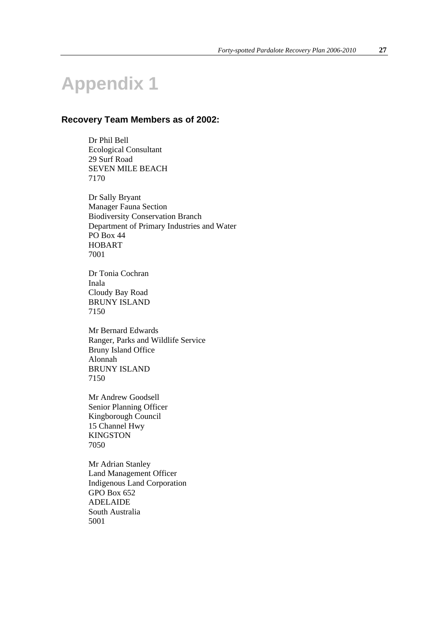# **Appendix 1**

#### **Recovery Team Members as of 2002:**

Dr Phil Bell Ecological Consultant 29 Surf Road SEVEN MILE BEACH 7170

Dr Sally Bryant Manager Fauna Section Biodiversity Conservation Branch Department of Primary Industries and Water PO Box 44 HOBART 7001

Dr Tonia Cochran Inala Cloudy Bay Road BRUNY ISLAND 7150

Mr Bernard Edwards Ranger, Parks and Wildlife Service Bruny Island Office Alonnah BRUNY ISLAND 7150

Mr Andrew Goodsell Senior Planning Officer Kingborough Council 15 Channel Hwy **KINGSTON** 7050

Mr Adrian Stanley Land Management Officer Indigenous Land Corporation GPO Box 652 ADELAIDE South Australia 5001